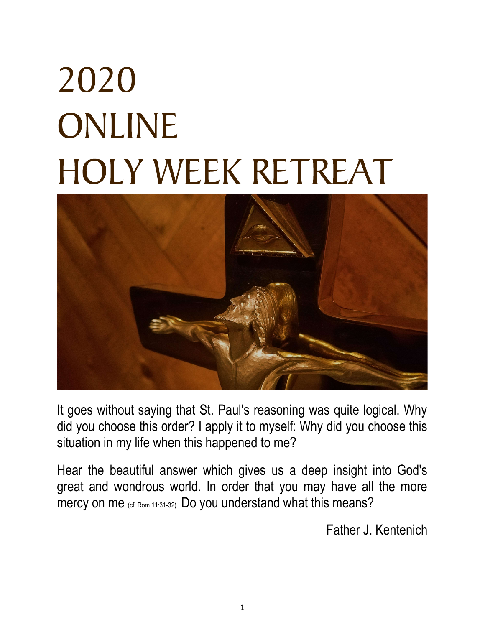# 2020 ONLINE **HOLY WEEK RETREAT**



It goes without saying that St. Paul's reasoning was quite logical. Why did you choose this order? I apply it to myself: Why did you choose this situation in my life when this happened to me?

Hear the beautiful answer which gives us a deep insight into God's great and wondrous world. In order that you may have all the more mercy on me (cf. Rom 11:31-32). Do you understand what this means?

Father J. Kentenich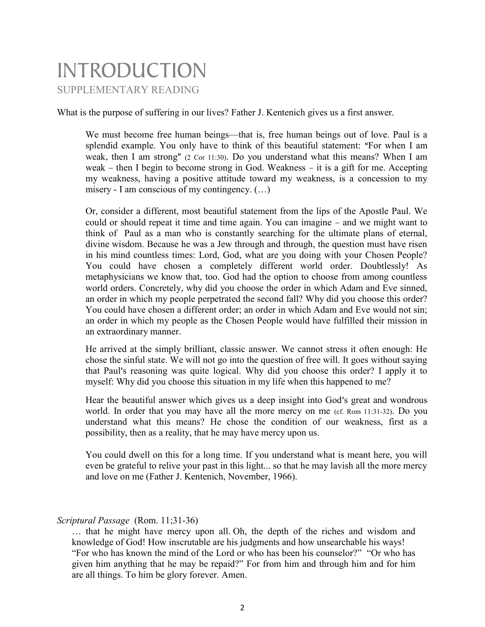### **INTRODUCTION** SUPPLEMENTARY READING

What is the purpose of suffering in our lives? Father J. Kentenich gives us a first answer.

We must become free human beings—that is, free human beings out of love. Paul is a splendid example. You only have to think of this beautiful statement: "For when I am weak, then I am strong"  $(2 \text{ Cor } 11:30)$ . Do you understand what this means? When I am weak  $-$  then I begin to become strong in God. Weakness  $-$  it is a gift for me. Accepting my weakness, having a positive attitude toward my weakness, is a concession to my misery - I am conscious of my contingency. (…)

Or, consider a different, most beautiful statement from the lips of the Apostle Paul. We could or should repeat it time and time again. You can imagine – and we might want to think of Paul as a man who is constantly searching for the ultimate plans of eternal, divine wisdom. Because he was a Jew through and through, the question must have risen in his mind countless times: Lord, God, what are you doing with your Chosen People? You could have chosen a completely different world order. Doubtlessly! As metaphysicians we know that, too. God had the option to choose from among countless world orders. Concretely, why did you choose the order in which Adam and Eve sinned, an order in which my people perpetrated the second fall? Why did you choose this order? You could have chosen a different order; an order in which Adam and Eve would not sin; an order in which my people as the Chosen People would have fulfilled their mission in an extraordinary manner.

He arrived at the simply brilliant, classic answer. We cannot stress it often enough: He chose the sinful state. We will not go into the question of free will. It goes without saying that Paul's reasoning was quite logical. Why did you choose this order? I apply it to myself: Why did you choose this situation in my life when this happened to me?

Hear the beautiful answer which gives us a deep insight into God's great and wondrous world. In order that you may have all the more mercy on me (cf. Rom 11:31-32). Do you understand what this means? He chose the condition of our weakness, first as a possibility, then as a reality, that he may have mercy upon us.

You could dwell on this for a long time. If you understand what is meant here, you will even be grateful to relive your past in this light... so that he may lavish all the more mercy and love on me (Father J. Kentenich, November, 1966).

#### Scriptural Passage (Rom. 11;31-36)

… that he might have mercy upon all. Oh, the depth of the riches and wisdom and knowledge of God! How inscrutable are his judgments and how unsearchable his ways! "For who has known the mind of the Lord or who has been his counselor?" "Or who has given him anything that he may be repaid?" For from him and through him and for him are all things. To him be glory forever. Amen.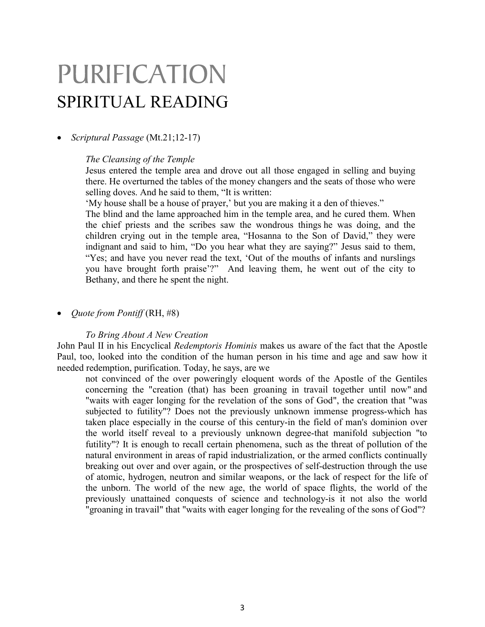## PURIFICATION SPIRITUAL READING

#### Scriptural Passage (Mt.21;12-17)

#### The Cleansing of the Temple

Jesus entered the temple area and drove out all those engaged in selling and buying there. He overturned the tables of the money changers and the seats of those who were selling doves. And he said to them, "It is written:

'My house shall be a house of prayer,' but you are making it a den of thieves."

The blind and the lame approached him in the temple area, and he cured them. When the chief priests and the scribes saw the wondrous things he was doing, and the children crying out in the temple area, "Hosanna to the Son of David," they were indignant and said to him, "Do you hear what they are saying?" Jesus said to them, "Yes; and have you never read the text, 'Out of the mouths of infants and nurslings you have brought forth praise'?" And leaving them, he went out of the city to Bethany, and there he spent the night.

• *Quote from Pontiff*  $(RH, #8)$ 

#### To Bring About A New Creation

John Paul II in his Encyclical Redemptoris Hominis makes us aware of the fact that the Apostle Paul, too, looked into the condition of the human person in his time and age and saw how it needed redemption, purification. Today, he says, are we

not convinced of the over poweringly eloquent words of the Apostle of the Gentiles concerning the "creation (that) has been groaning in travail together until now" and "waits with eager longing for the revelation of the sons of God", the creation that "was subjected to futility"? Does not the previously unknown immense progress-which has taken place especially in the course of this century-in the field of man's dominion over the world itself reveal to a previously unknown degree-that manifold subjection "to futility"? It is enough to recall certain phenomena, such as the threat of pollution of the natural environment in areas of rapid industrialization, or the armed conflicts continually breaking out over and over again, or the prospectives of self-destruction through the use of atomic, hydrogen, neutron and similar weapons, or the lack of respect for the life of the unborn. The world of the new age, the world of space flights, the world of the previously unattained conquests of science and technology-is it not also the world "groaning in travail" that "waits with eager longing for the revealing of the sons of God"?